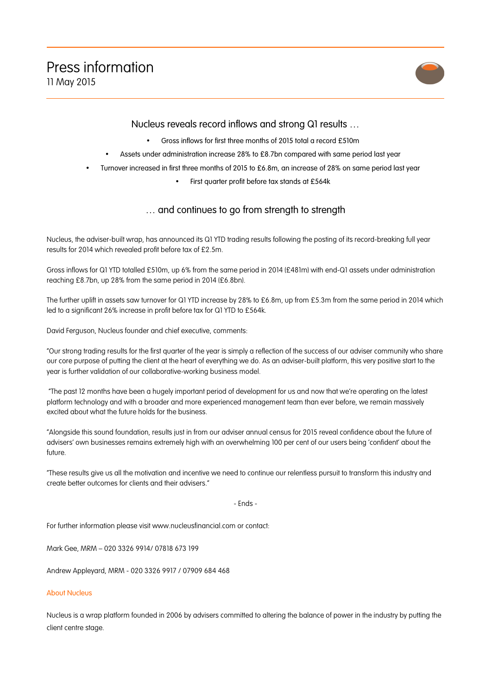

## Nucleus reveals record inflows and strong Q1 results …

- Gross inflows for first three months of 2015 total a record £510m
- Assets under administration increase 28% to £8.7bn compared with same period last year
- Turnover increased in first three months of 2015 to £6.8m, an increase of 28% on same period last year
	- First quarter profit before tax stands at £564k

## … and continues to go from strength to strength

Nucleus, the adviser-built wrap, has announced its Q1 YTD trading results following the posting of its record-breaking full year results for 2014 which revealed profit before tax of £2.5m.

Gross inflows for Q1 YTD totalled £510m, up 6% from the same period in 2014 (£481m) with end-Q1 assets under administration reaching £8.7bn, up 28% from the same period in 2014 (£6.8bn).

The further uplift in assets saw turnover for Q1 YTD increase by 28% to £6.8m, up from £5.3m from the same period in 2014 which led to a significant 26% increase in profit before tax for Q1 YTD to £564k.

David Ferguson, Nucleus founder and chief executive, comments:

"Our strong trading results for the first quarter of the year is simply a reflection of the success of our adviser community who share our core purpose of putting the client at the heart of everything we do. As an adviser-built platform, this very positive start to the year is further validation of our collaborative-working business model.

"The past 12 months have been a hugely important period of development for us and now that we're operating on the latest platform technology and with a broader and more experienced management team than ever before, we remain massively excited about what the future holds for the business.

"Alongside this sound foundation, results just in from our adviser annual census for 2015 reveal confidence about the future of advisers' own businesses remains extremely high with an overwhelming 100 per cent of our users being 'confident' about the future.

"These results give us all the motivation and incentive we need to continue our relentless pursuit to transform this industry and create better outcomes for clients and their advisers."

- Ends -

For further information please visit www.nucleusfinancial.com or contact:

Mark Gee, MRM – 020 3326 9914/ 07818 673 199

Andrew Appleyard, MRM - 020 3326 9917 / 07909 684 468

## About Nucleus

Nucleus is a wrap platform founded in 2006 by advisers committed to altering the balance of power in the industry by putting the client centre stage.